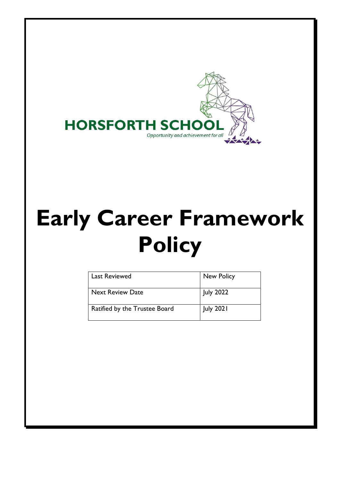

# **Early Career Framework Policy**

| Last Reviewed                 | New Policy       |
|-------------------------------|------------------|
| <b>Next Review Date</b>       | <b>July 2022</b> |
| Ratified by the Trustee Board | <b>July 2021</b> |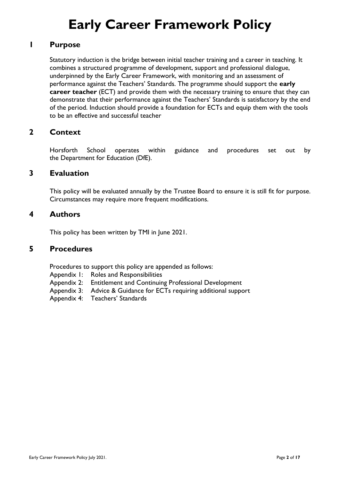# **Early Career Framework Policy**

# **1 Purpose**

Statutory induction is the bridge between initial teacher training and a career in teaching. It combines a structured programme of development, support and professional dialogue, underpinned by the Early Career Framework, with monitoring and an assessment of performance against the Teachers' Standards. The programme should support the **early career teacher** (ECT) and provide them with the necessary training to ensure that they can demonstrate that their performance against the Teachers' Standards is satisfactory by the end of the period. Induction should provide a foundation for ECTs and equip them with the tools to be an effective and successful teacher

# **2 Context**

Horsforth School operates within guidance and procedures set out by the Department for Education (DfE).

### **3 Evaluation**

This policy will be evaluated annually by the Trustee Board to ensure it is still fit for purpose. Circumstances may require more frequent modifications.

### **4 Authors**

This policy has been written by TMI in June 2021.

#### **5 Procedures**

Procedures to support this policy are appended as follows:

- Appendix 1: Roles and Responsibilities
- Appendix 2: Entitlement and Continuing Professional Development
- Appendix 3: Advice & Guidance for ECTs requiring additional support
- Appendix 4: Teachers' Standards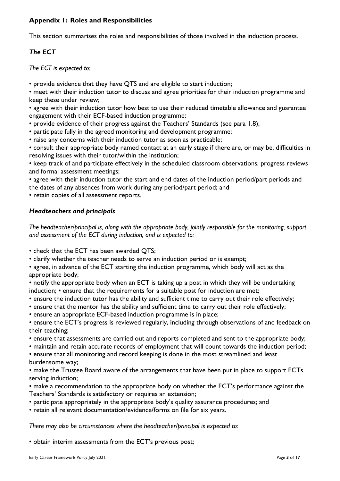#### **Appendix 1: Roles and Responsibilities**

This section summarises the roles and responsibilities of those involved in the induction process.

## *The ECT*

*The ECT is expected to:* 

• provide evidence that they have QTS and are eligible to start induction;

• meet with their induction tutor to discuss and agree priorities for their induction programme and keep these under review;

• agree with their induction tutor how best to use their reduced timetable allowance and guarantee engagement with their ECF-based induction programme;

• provide evidence of their progress against the Teachers' Standards (see para 1.8);

• participate fully in the agreed monitoring and development programme;

• raise any concerns with their induction tutor as soon as practicable;

• consult their appropriate body named contact at an early stage if there are, or may be, difficulties in resolving issues with their tutor/within the institution;

• keep track of and participate effectively in the scheduled classroom observations, progress reviews and formal assessment meetings;

• agree with their induction tutor the start and end dates of the induction period/part periods and the dates of any absences from work during any period/part period; and

• retain copies of all assessment reports.

### *Headteachers and principals*

*The headteacher/principal is, along with the appropriate body, jointly responsible for the monitoring, support and assessment of the ECT during induction, and is expected to:* 

• check that the ECT has been awarded QTS;

• clarify whether the teacher needs to serve an induction period or is exempt;

• agree, in advance of the ECT starting the induction programme, which body will act as the appropriate body;

• notify the appropriate body when an ECT is taking up a post in which they will be undertaking induction; • ensure that the requirements for a suitable post for induction are met;

- ensure the induction tutor has the ability and sufficient time to carry out their role effectively;
- ensure that the mentor has the ability and sufficient time to carry out their role effectively;

• ensure an appropriate ECF-based induction programme is in place;

• ensure the ECT's progress is reviewed regularly, including through observations of and feedback on their teaching;

• ensure that assessments are carried out and reports completed and sent to the appropriate body;

• maintain and retain accurate records of employment that will count towards the induction period;

• ensure that all monitoring and record keeping is done in the most streamlined and least burdensome way;

• make the Trustee Board aware of the arrangements that have been put in place to support ECTs serving induction;

• make a recommendation to the appropriate body on whether the ECT's performance against the Teachers' Standards is satisfactory or requires an extension;

• participate appropriately in the appropriate body's quality assurance procedures; and

• retain all relevant documentation/evidence/forms on file for six years.

*There may also be circumstances where the headteacher/principal is expected to:* 

• obtain interim assessments from the ECT's previous post;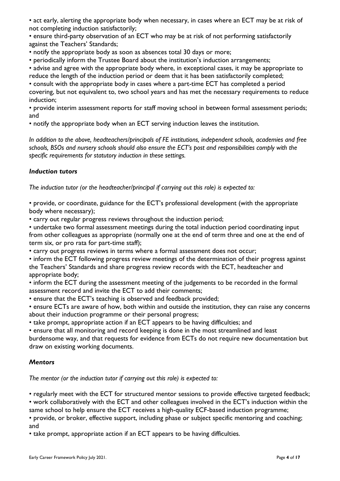• act early, alerting the appropriate body when necessary, in cases where an ECT may be at risk of not completing induction satisfactorily;

• ensure third-party observation of an ECT who may be at risk of not performing satisfactorily against the Teachers' Standards;

• notify the appropriate body as soon as absences total 30 days or more;

• periodically inform the Trustee Board about the institution's induction arrangements;

• advise and agree with the appropriate body where, in exceptional cases, it may be appropriate to reduce the length of the induction period or deem that it has been satisfactorily completed;

• consult with the appropriate body in cases where a part-time ECT has completed a period covering, but not equivalent to, two school years and has met the necessary requirements to reduce induction;

• provide interim assessment reports for staff moving school in between formal assessment periods; and

• notify the appropriate body when an ECT serving induction leaves the institution.

*In addition to the above, headteachers/principals of FE institutions, independent schools, academies and free schools, BSOs and nursery schools should also ensure the ECT's post and responsibilities comply with the specific requirements for statutory induction in these settings.* 

#### *Induction tutors*

*The induction tutor (or the headteacher/principal if carrying out this role) is expected to:* 

• provide, or coordinate, guidance for the ECT's professional development (with the appropriate body where necessary);

• carry out regular progress reviews throughout the induction period;

• undertake two formal assessment meetings during the total induction period coordinating input from other colleagues as appropriate (normally one at the end of term three and one at the end of term six, or pro rata for part-time staff);

• carry out progress reviews in terms where a formal assessment does not occur;

• inform the ECT following progress review meetings of the determination of their progress against the Teachers' Standards and share progress review records with the ECT, headteacher and appropriate body;

• inform the ECT during the assessment meeting of the judgements to be recorded in the formal assessment record and invite the ECT to add their comments;

• ensure that the ECT's teaching is observed and feedback provided;

• ensure ECTs are aware of how, both within and outside the institution, they can raise any concerns about their induction programme or their personal progress;

• take prompt, appropriate action if an ECT appears to be having difficulties; and

• ensure that all monitoring and record keeping is done in the most streamlined and least

burdensome way, and that requests for evidence from ECTs do not require new documentation but draw on existing working documents.

#### *Mentors*

*The mentor (or the induction tutor if carrying out this role) is expected to:* 

• regularly meet with the ECT for structured mentor sessions to provide effective targeted feedback;

• work collaboratively with the ECT and other colleagues involved in the ECT's induction within the

same school to help ensure the ECT receives a high-quality ECF-based induction programme;

• provide, or broker, effective support, including phase or subject specific mentoring and coaching; and

• take prompt, appropriate action if an ECT appears to be having difficulties.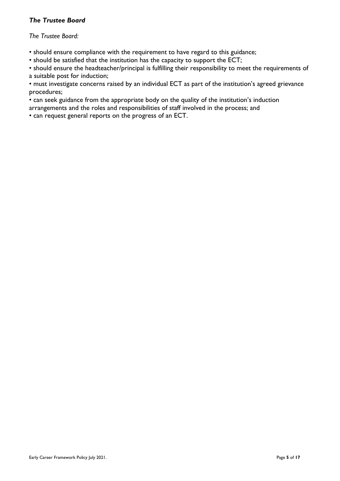#### *The Trustee Board*

#### *The Trustee Board:*

• should ensure compliance with the requirement to have regard to this guidance;

• should be satisfied that the institution has the capacity to support the ECT;

• should ensure the headteacher/principal is fulfilling their responsibility to meet the requirements of a suitable post for induction;

• must investigate concerns raised by an individual ECT as part of the institution's agreed grievance procedures;

• can seek guidance from the appropriate body on the quality of the institution's induction

arrangements and the roles and responsibilities of staff involved in the process; and

• can request general reports on the progress of an ECT.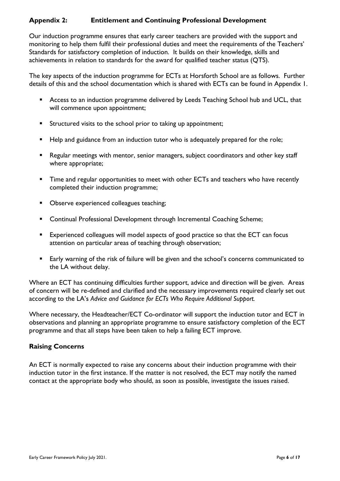### **Appendix 2: Entitlement and Continuing Professional Development**

Our induction programme ensures that early career teachers are provided with the support and monitoring to help them fulfil their professional duties and meet the requirements of the Teachers' Standards for satisfactory completion of induction. It builds on their knowledge, skills and achievements in relation to standards for the award for qualified teacher status (QTS).

The key aspects of the induction programme for ECTs at Horsforth School are as follows. Further details of this and the school documentation which is shared with ECTs can be found in Appendix 1.

- Access to an induction programme delivered by Leeds Teaching School hub and UCL, that will commence upon appointment;
- **EXECUTED 15 In Structured visits to the school prior to taking up appointment;**
- Help and guidance from an induction tutor who is adequately prepared for the role;
- Regular meetings with mentor, senior managers, subject coordinators and other key staff where appropriate;
- **E** Time and regular opportunities to meet with other ECTs and teachers who have recently completed their induction programme;
- Observe experienced colleagues teaching;
- Continual Professional Development through Incremental Coaching Scheme;
- Experienced colleagues will model aspects of good practice so that the ECT can focus attention on particular areas of teaching through observation;
- Early warning of the risk of failure will be given and the school's concerns communicated to the LA without delay.

Where an ECT has continuing difficulties further support, advice and direction will be given. Areas of concern will be re-defined and clarified and the necessary improvements required clearly set out according to the LA's *Advice and Guidance for ECTs Who Require Additional Support.*

Where necessary, the Headteacher/ECT Co-ordinator will support the induction tutor and ECT in observations and planning an appropriate programme to ensure satisfactory completion of the ECT programme and that all steps have been taken to help a failing ECT improve.

#### **Raising Concerns**

An ECT is normally expected to raise any concerns about their induction programme with their induction tutor in the first instance. If the matter is not resolved, the ECT may notify the named contact at the appropriate body who should, as soon as possible, investigate the issues raised.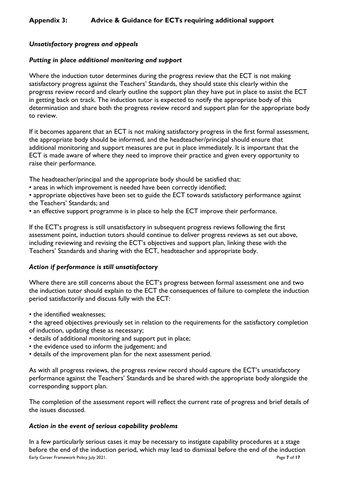#### *Unsatisfactory progress and appeals*

#### *Putting in place additional monitoring and support*

Where the induction tutor determines during the progress review that the ECT is not making satisfactory progress against the Teachers' Standards, they should state this clearly within the progress review record and clearly outline the support plan they have put in place to assist the ECT in getting back on track. The induction tutor is expected to notify the appropriate body of this determination and share both the progress review record and support plan for the appropriate body to review.

If it becomes apparent that an ECT is not making satisfactory progress in the first formal assessment, the appropriate body should be informed, and the headteacher/principal should ensure that additional monitoring and support measures are put in place immediately. It is important that the ECT is made aware of where they need to improve their practice and given every opportunity to raise their performance.

The headteacher/principal and the appropriate body should be satisfied that:

• areas in which improvement is needed have been correctly identified;

• appropriate objectives have been set to guide the ECT towards satisfactory performance against the Teachers' Standards; and

• an effective support programme is in place to help the ECT improve their performance.

If the ECT's progress is still unsatisfactory in subsequent progress reviews following the first assessment point, induction tutors should continue to deliver progress reviews as set out above, including reviewing and revising the ECT's objectives and support plan, linking these with the Teachers' Standards and sharing with the ECT, headteacher and appropriate body.

#### *Action if performance is still unsatisfactory*

Where there are still concerns about the ECT's progress between formal assessment one and two the induction tutor should explain to the ECT the consequences of failure to complete the induction period satisfactorily and discuss fully with the ECT:

• the identified weaknesses;

• the agreed objectives previously set in relation to the requirements for the satisfactory completion of induction, updating these as necessary;

- details of additional monitoring and support put in place;
- the evidence used to inform the judgement; and
- details of the improvement plan for the next assessment period.

As with all progress reviews, the progress review record should capture the ECT's unsatisfactory performance against the Teachers' Standards and be shared with the appropriate body alongside the corresponding support plan.

The completion of the assessment report will reflect the current rate of progress and brief details of the issues discussed.

#### *Action in the event of serious capability problems*

Early Career Framework Policy July 2021. Page **7** of **17** In a few particularly serious cases it may be necessary to instigate capability procedures at a stage before the end of the induction period, which may lead to dismissal before the end of the induction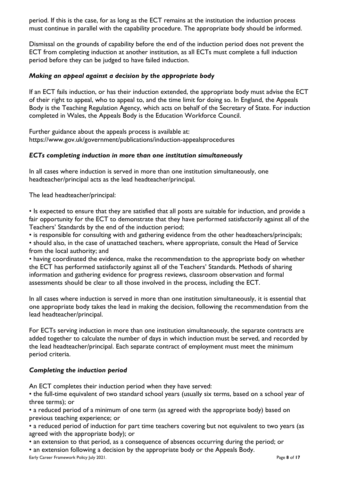period. If this is the case, for as long as the ECT remains at the institution the induction process must continue in parallel with the capability procedure. The appropriate body should be informed.

Dismissal on the grounds of capability before the end of the induction period does not prevent the ECT from completing induction at another institution, as all ECTs must complete a full induction period before they can be judged to have failed induction.

#### *Making an appeal against a decision by the appropriate body*

If an ECT fails induction, or has their induction extended, the appropriate body must advise the ECT of their right to appeal, who to appeal to, and the time limit for doing so. In England, the Appeals Body is the Teaching Regulation Agency, which acts on behalf of the Secretary of State. For induction completed in Wales, the Appeals Body is the Education Workforce Council.

Further guidance about the appeals process is available at: https://www.gov.uk/government/publications/induction-appealsprocedures

#### *ECTs completing induction in more than one institution simultaneously*

In all cases where induction is served in more than one institution simultaneously, one headteacher/principal acts as the lead headteacher/principal.

The lead headteacher/principal:

• Is expected to ensure that they are satisfied that all posts are suitable for induction, and provide a fair opportunity for the ECT to demonstrate that they have performed satisfactorily against all of the Teachers' Standards by the end of the induction period;

• is responsible for consulting with and gathering evidence from the other headteachers/principals; • should also, in the case of unattached teachers, where appropriate, consult the Head of Service

from the local authority; and

• having coordinated the evidence, make the recommendation to the appropriate body on whether the ECT has performed satisfactorily against all of the Teachers' Standards. Methods of sharing information and gathering evidence for progress reviews, classroom observation and formal assessments should be clear to all those involved in the process, including the ECT.

In all cases where induction is served in more than one institution simultaneously, it is essential that one appropriate body takes the lead in making the decision, following the recommendation from the lead headteacher/principal.

For ECTs serving induction in more than one institution simultaneously, the separate contracts are added together to calculate the number of days in which induction must be served, and recorded by the lead headteacher/principal. Each separate contract of employment must meet the minimum period criteria.

#### *Completing the induction period*

An ECT completes their induction period when they have served:

• the full-time equivalent of two standard school years (usually six terms, based on a school year of three terms); or

• a reduced period of a minimum of one term (as agreed with the appropriate body) based on previous teaching experience; or

• a reduced period of induction for part time teachers covering but not equivalent to two years (as agreed with the appropriate body); or

• an extension to that period, as a consequence of absences occurring during the period; or

Early Career Framework Policy July 2021. Page **8** of **17** • an extension following a decision by the appropriate body or the Appeals Body.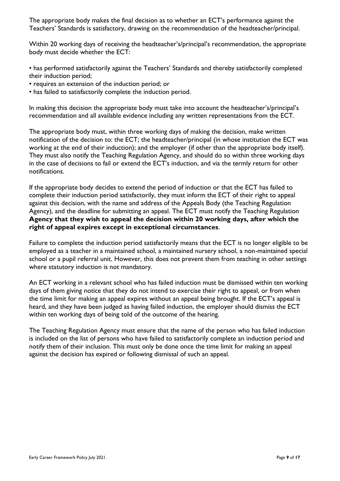The appropriate body makes the final decision as to whether an ECT's performance against the Teachers' Standards is satisfactory, drawing on the recommendation of the headteacher/principal.

Within 20 working days of receiving the headteacher's/principal's recommendation, the appropriate body must decide whether the ECT:

• has performed satisfactorily against the Teachers' Standards and thereby satisfactorily completed their induction period;

- requires an extension of the induction period; or
- has failed to satisfactorily complete the induction period.

In making this decision the appropriate body must take into account the headteacher's/principal's recommendation and all available evidence including any written representations from the ECT.

The appropriate body must, within three working days of making the decision, make written notification of the decision to: the ECT; the headteacher/principal (in whose institution the ECT was working at the end of their induction); and the employer (if other than the appropriate body itself). They must also notify the Teaching Regulation Agency, and should do so within three working days in the case of decisions to fail or extend the ECT's induction, and via the termly return for other notifications.

If the appropriate body decides to extend the period of induction or that the ECT has failed to complete their induction period satisfactorily, they must inform the ECT of their right to appeal against this decision, with the name and address of the Appeals Body (the Teaching Regulation Agency), and the deadline for submitting an appeal. The ECT must notify the Teaching Regulation **Agency that they wish to appeal the decision within 20 working days, after which the right of appeal expires except in exceptional circumstances**.

Failure to complete the induction period satisfactorily means that the ECT is no longer eligible to be employed as a teacher in a maintained school, a maintained nursery school, a non-maintained special school or a pupil referral unit. However, this does not prevent them from teaching in other settings where statutory induction is not mandatory.

An ECT working in a relevant school who has failed induction must be dismissed within ten working days of them giving notice that they do not intend to exercise their right to appeal, or from when the time limit for making an appeal expires without an appeal being brought. If the ECT's appeal is heard, and they have been judged as having failed induction, the employer should dismiss the ECT within ten working days of being told of the outcome of the hearing.

The Teaching Regulation Agency must ensure that the name of the person who has failed induction is included on the list of persons who have failed to satisfactorily complete an induction period and notify them of their inclusion. This must only be done once the time limit for making an appeal against the decision has expired or following dismissal of such an appeal.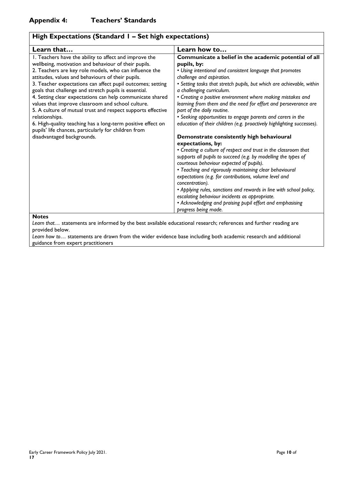| High Expectations (Standard I - Set high expectations)                                                                                                                                                                                                                                                                                                                                                                                                                                                                                                                                                                 |                                                                                                                                                                                                                                                                                                                                                                                                                                                                                                                                                                               |
|------------------------------------------------------------------------------------------------------------------------------------------------------------------------------------------------------------------------------------------------------------------------------------------------------------------------------------------------------------------------------------------------------------------------------------------------------------------------------------------------------------------------------------------------------------------------------------------------------------------------|-------------------------------------------------------------------------------------------------------------------------------------------------------------------------------------------------------------------------------------------------------------------------------------------------------------------------------------------------------------------------------------------------------------------------------------------------------------------------------------------------------------------------------------------------------------------------------|
| Learn that                                                                                                                                                                                                                                                                                                                                                                                                                                                                                                                                                                                                             | Learn how to                                                                                                                                                                                                                                                                                                                                                                                                                                                                                                                                                                  |
| I. Teachers have the ability to affect and improve the<br>wellbeing, motivation and behaviour of their pupils.<br>2. Teachers are key role models, who can influence the<br>attitudes, values and behaviours of their pupils.<br>3. Teacher expectations can affect pupil outcomes; setting<br>goals that challenge and stretch pupils is essential.<br>4. Setting clear expectations can help communicate shared<br>values that improve classroom and school culture.<br>5. A culture of mutual trust and respect supports effective<br>relationships.<br>6. High-quality teaching has a long-term positive effect on | Communicate a belief in the academic potential of all<br>pupils, by:<br>• Using intentional and consistent language that promotes<br>challenge and aspiration.<br>• Setting tasks that stretch pupils, but which are achievable, within<br>a challenging curriculum.<br>• Creating a positive environment where making mistakes and<br>learning from them and the need for effort and perseverance are<br>part of the daily routine.<br>• Seeking opportunities to engage parents and carers in the<br>education of their children (e.g. proactively highlighting successes). |
| pupils' life chances, particularly for children from<br>disadvantaged backgrounds.                                                                                                                                                                                                                                                                                                                                                                                                                                                                                                                                     | Demonstrate consistently high behavioural                                                                                                                                                                                                                                                                                                                                                                                                                                                                                                                                     |
|                                                                                                                                                                                                                                                                                                                                                                                                                                                                                                                                                                                                                        | expectations, by:                                                                                                                                                                                                                                                                                                                                                                                                                                                                                                                                                             |
|                                                                                                                                                                                                                                                                                                                                                                                                                                                                                                                                                                                                                        | • Creating a culture of respect and trust in the classroom that<br>supports all pupils to succeed (e.g. by modelling the types of<br>courteous behaviour expected of pupils).                                                                                                                                                                                                                                                                                                                                                                                                 |
|                                                                                                                                                                                                                                                                                                                                                                                                                                                                                                                                                                                                                        | • Teaching and rigorously maintaining clear behavioural<br>expectations (e.g. for contributions, volume level and<br>concentration).                                                                                                                                                                                                                                                                                                                                                                                                                                          |
|                                                                                                                                                                                                                                                                                                                                                                                                                                                                                                                                                                                                                        | • Applying rules, sanctions and rewards in line with school policy,                                                                                                                                                                                                                                                                                                                                                                                                                                                                                                           |
|                                                                                                                                                                                                                                                                                                                                                                                                                                                                                                                                                                                                                        | escalating behaviour incidents as appropriate.                                                                                                                                                                                                                                                                                                                                                                                                                                                                                                                                |
|                                                                                                                                                                                                                                                                                                                                                                                                                                                                                                                                                                                                                        | • Acknowledging and praising pupil effort and emphasising<br>progress being made.                                                                                                                                                                                                                                                                                                                                                                                                                                                                                             |
| <b>Notes</b>                                                                                                                                                                                                                                                                                                                                                                                                                                                                                                                                                                                                           |                                                                                                                                                                                                                                                                                                                                                                                                                                                                                                                                                                               |

*Learn that…* statements are informed by the best available educational research; references and further reading are provided below.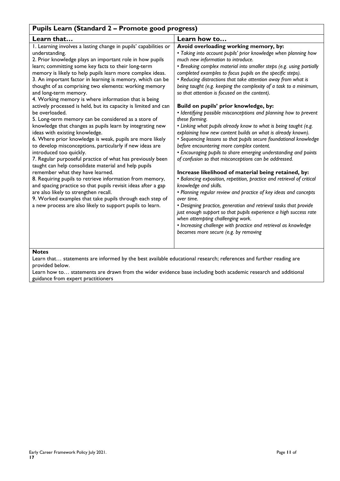| Pupils Learn (Standard 2 - Promote good progress)                                                                                                                                                                                                                                                                                                                                                                                                                                                                                                                                                                                                                                                                                                                                                                                                                                                                                                                                                                                                                                                                                                                                                                                                                                                                                                 |                                                                                                                                                                                                                                                                                                                                                                                                                                                                                                                                                                                                                                                                                                                                                                                                                                                                                                                                                                                                                                                                                                                                                                                                                                                                                                                                                                                                                                                                                                                                      |
|---------------------------------------------------------------------------------------------------------------------------------------------------------------------------------------------------------------------------------------------------------------------------------------------------------------------------------------------------------------------------------------------------------------------------------------------------------------------------------------------------------------------------------------------------------------------------------------------------------------------------------------------------------------------------------------------------------------------------------------------------------------------------------------------------------------------------------------------------------------------------------------------------------------------------------------------------------------------------------------------------------------------------------------------------------------------------------------------------------------------------------------------------------------------------------------------------------------------------------------------------------------------------------------------------------------------------------------------------|--------------------------------------------------------------------------------------------------------------------------------------------------------------------------------------------------------------------------------------------------------------------------------------------------------------------------------------------------------------------------------------------------------------------------------------------------------------------------------------------------------------------------------------------------------------------------------------------------------------------------------------------------------------------------------------------------------------------------------------------------------------------------------------------------------------------------------------------------------------------------------------------------------------------------------------------------------------------------------------------------------------------------------------------------------------------------------------------------------------------------------------------------------------------------------------------------------------------------------------------------------------------------------------------------------------------------------------------------------------------------------------------------------------------------------------------------------------------------------------------------------------------------------------|
| Learn that                                                                                                                                                                                                                                                                                                                                                                                                                                                                                                                                                                                                                                                                                                                                                                                                                                                                                                                                                                                                                                                                                                                                                                                                                                                                                                                                        | Learn how to                                                                                                                                                                                                                                                                                                                                                                                                                                                                                                                                                                                                                                                                                                                                                                                                                                                                                                                                                                                                                                                                                                                                                                                                                                                                                                                                                                                                                                                                                                                         |
| I. Learning involves a lasting change in pupils' capabilities or<br>understanding.<br>2. Prior knowledge plays an important role in how pupils<br>learn; committing some key facts to their long-term<br>memory is likely to help pupils learn more complex ideas.<br>3. An important factor in learning is memory, which can be<br>thought of as comprising two elements: working memory<br>and long-term memory.<br>4. Working memory is where information that is being<br>actively processed is held, but its capacity is limited and can<br>be overloaded.<br>5. Long-term memory can be considered as a store of<br>knowledge that changes as pupils learn by integrating new<br>ideas with existing knowledge.<br>6. Where prior knowledge is weak, pupils are more likely<br>to develop misconceptions, particularly if new ideas are<br>introduced too quickly.<br>7. Regular purposeful practice of what has previously been<br>taught can help consolidate material and help pupils<br>remember what they have learned.<br>8. Requiring pupils to retrieve information from memory,<br>and spacing practice so that pupils revisit ideas after a gap<br>are also likely to strengthen recall.<br>9. Worked examples that take pupils through each step of<br>a new process are also likely to support pupils to learn.<br><b>Notes</b> | Avoid overloading working memory, by:<br>• Taking into account pupils' prior knowledge when planning how<br>much new information to introduce.<br>• Breaking complex material into smaller steps (e.g. using partially<br>completed examples to focus pupils on the specific steps).<br>• Reducing distractions that take attention away from what is<br>being taught (e.g. keeping the complexity of a task to a minimum,<br>so that attention is focused on the content).<br>Build on pupils' prior knowledge, by:<br>• Identifying possible misconceptions and planning how to prevent<br>these forming.<br>. Linking what pupils already know to what is being taught (e.g.<br>explaining how new content builds on what is already known).<br>• Sequencing lessons so that pupils secure foundational knowledge<br>before encountering more complex content.<br>• Encouraging pupils to share emerging understanding and points<br>of confusion so that misconceptions can be addressed.<br>Increase likelihood of material being retained, by:<br>• Balancing exposition, repetition, practice and retrieval of critical<br>knowledge and skills.<br>• Planning regular review and practice of key ideas and concepts<br>over time.<br>• Designing practice, generation and retrieval tasks that provide<br>just enough support so that pupils experience a high success rate<br>when attempting challenging work.<br>• Increasing challenge with practice and retrieval as knowledge<br>becomes more secure (e.g. by removing |
| Learn that statements are informed by the best available educational research; references and further reading are                                                                                                                                                                                                                                                                                                                                                                                                                                                                                                                                                                                                                                                                                                                                                                                                                                                                                                                                                                                                                                                                                                                                                                                                                                 |                                                                                                                                                                                                                                                                                                                                                                                                                                                                                                                                                                                                                                                                                                                                                                                                                                                                                                                                                                                                                                                                                                                                                                                                                                                                                                                                                                                                                                                                                                                                      |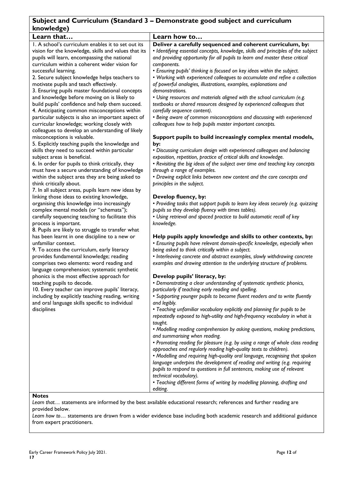# **Subject and Curriculum (Standard 3 – Demonstrate good subject and curriculum knowledge)**

| NIUWICUZC                                                                     |                                                                                   |
|-------------------------------------------------------------------------------|-----------------------------------------------------------------------------------|
| Learn that                                                                    | Learn how to                                                                      |
| 1. A school's curriculum enables it to set out its                            | Deliver a carefully sequenced and coherent curriculum, by:                        |
| vision for the knowledge, skills and values that its                          | • Identifying essential concepts, knowledge, skills and principles of the subject |
| pupils will learn, encompassing the national                                  | and providing opportunity for all pupils to learn and master these critical       |
| curriculum within a coherent wider vision for                                 | components.                                                                       |
| successful learning.                                                          | · Ensuring pupils' thinking is focused on key ideas within the subject.           |
| 2. Secure subject knowledge helps teachers to                                 | • Working with experienced colleagues to accumulate and refine a collection       |
| motivate pupils and teach effectively.                                        | of powerful analogies, illustrations, examples, explanations and                  |
| 3. Ensuring pupils master foundational concepts                               | demonstrations.                                                                   |
| and knowledge before moving on is likely to                                   | . Using resources and materials aligned with the school curriculum (e.g.          |
| build pupils' confidence and help them succeed.                               | textbooks or shared resources designed by experienced colleagues that             |
| 4. Anticipating common misconceptions within                                  | carefully sequence content).                                                      |
| particular subjects is also an important aspect of                            | • Being aware of common misconceptions and discussing with experienced            |
| curricular knowledge; working closely with                                    | colleagues how to help pupils master important concepts.                          |
| colleagues to develop an understanding of likely                              |                                                                                   |
| misconceptions is valuable.                                                   | Support pupils to build increasingly complex mental models,                       |
| 5. Explicitly teaching pupils the knowledge and                               | by:                                                                               |
| skills they need to succeed within particular                                 | • Discussing curriculum design with experienced colleagues and balancing          |
| subject areas is beneficial.                                                  | exposition, repetition, practice of critical skills and knowledge.                |
| 6. In order for pupils to think critically, they                              | • Revisiting the big ideas of the subject over time and teaching key concepts     |
| must have a secure understanding of knowledge                                 | through a range of examples.                                                      |
| within the subject area they are being asked to                               | • Drawing explicit links between new content and the core concepts and            |
|                                                                               | principles in the subject.                                                        |
| think critically about.<br>7. In all subject areas, pupils learn new ideas by |                                                                                   |
|                                                                               | Develop fluency, by:                                                              |
| linking those ideas to existing knowledge,                                    | • Providing tasks that support pupils to learn key ideas securely (e.g. quizzing  |
| organising this knowledge into increasingly                                   |                                                                                   |
| complex mental models (or "schemata");                                        | pupils so they develop fluency with times tables).                                |
| carefully sequencing teaching to facilitate this                              | • Using retrieval and spaced practice to build automatic recall of key            |
| process is important.                                                         | knowledge.                                                                        |
| 8. Pupils are likely to struggle to transfer what                             |                                                                                   |
| has been learnt in one discipline to a new or                                 | Help pupils apply knowledge and skills to other contexts, by:                     |
| unfamiliar context.                                                           | • Ensuring pupils have relevant domain-specific knowledge, especially when        |
| 9. To access the curriculum, early literacy                                   | being asked to think critically within a subject.                                 |
| provides fundamental knowledge; reading                                       | • Interleaving concrete and abstract examples, slowly withdrawing concrete        |
| comprises two elements: word reading and                                      | examples and drawing attention to the underlying structure of problems.           |
| language comprehension; systematic synthetic                                  |                                                                                   |
| phonics is the most effective approach for                                    | Develop pupils' literacy, by:                                                     |
| teaching pupils to decode.                                                    | • Demonstrating a clear understanding of systematic synthetic phonics,            |
| 10. Every teacher can improve pupils' literacy,                               | particularly if teaching early reading and spelling.                              |
| including by explicitly teaching reading, writing                             | • Supporting younger pupils to become fluent readers and to write fluently        |
| and oral language skills specific to individual                               | and legibly.                                                                      |
| disciplines                                                                   | • Teaching unfamiliar vocabulary explicitly and planning for pupils to be         |
|                                                                               | repeatedly exposed to high-utility and high-frequency vocabulary in what is       |
|                                                                               | taught.                                                                           |
|                                                                               | • Modelling reading comprehension by asking questions, making predictions,        |
|                                                                               | and summarising when reading.                                                     |
|                                                                               | • Promoting reading for pleasure (e.g. by using a range of whole class reading    |
|                                                                               | approaches and regularly reading high-quality texts to children).                 |
|                                                                               | • Modelling and requiring high-quality oral language, recognising that spoken     |
|                                                                               | language underpins the development of reading and writing (e.g. requiring         |
|                                                                               | pupils to respond to questions in full sentences, making use of relevant          |
|                                                                               | technical vocabulary).                                                            |
|                                                                               | • Teaching different forms of writing by modelling planning, drafting and         |
|                                                                               | editing.                                                                          |
|                                                                               |                                                                                   |

#### **Notes**

*Learn that…* statements are informed by the best available educational research; references and further reading are provided below.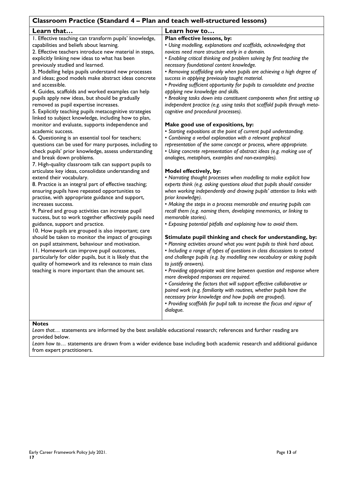# **Classroom Practice (Standard 4 – Plan and teach well-structured lessons)**

| Classibolii Fractice (Standard + – Fran and teach well-structured lessons)                                                                                                                                                                                                                                                                                                                                                                                                                                                                                                                                                                                                                                                                                                                                                                                                                                                                                                                                                                 |                                                                                                                                                                                                                                                                                                                                                                                                                                                                                                                                                                                                                                                                                                                                                                                                                                                                                                                                                                                                                                                                                                                                                                                                       |
|--------------------------------------------------------------------------------------------------------------------------------------------------------------------------------------------------------------------------------------------------------------------------------------------------------------------------------------------------------------------------------------------------------------------------------------------------------------------------------------------------------------------------------------------------------------------------------------------------------------------------------------------------------------------------------------------------------------------------------------------------------------------------------------------------------------------------------------------------------------------------------------------------------------------------------------------------------------------------------------------------------------------------------------------|-------------------------------------------------------------------------------------------------------------------------------------------------------------------------------------------------------------------------------------------------------------------------------------------------------------------------------------------------------------------------------------------------------------------------------------------------------------------------------------------------------------------------------------------------------------------------------------------------------------------------------------------------------------------------------------------------------------------------------------------------------------------------------------------------------------------------------------------------------------------------------------------------------------------------------------------------------------------------------------------------------------------------------------------------------------------------------------------------------------------------------------------------------------------------------------------------------|
| Learn that                                                                                                                                                                                                                                                                                                                                                                                                                                                                                                                                                                                                                                                                                                                                                                                                                                                                                                                                                                                                                                 | Learn how to                                                                                                                                                                                                                                                                                                                                                                                                                                                                                                                                                                                                                                                                                                                                                                                                                                                                                                                                                                                                                                                                                                                                                                                          |
| I. Effective teaching can transform pupils' knowledge,<br>capabilities and beliefs about learning.<br>2. Effective teachers introduce new material in steps,<br>explicitly linking new ideas to what has been<br>previously studied and learned.<br>3. Modelling helps pupils understand new processes<br>and ideas; good models make abstract ideas concrete<br>and accessible.<br>4. Guides, scaffolds and worked examples can help<br>pupils apply new ideas, but should be gradually<br>removed as pupil expertise increases.<br>5. Explicitly teaching pupils metacognitive strategies<br>linked to subject knowledge, including how to plan,<br>monitor and evaluate, supports independence and<br>academic success.<br>6. Questioning is an essential tool for teachers;<br>questions can be used for many purposes, including to<br>check pupils' prior knowledge, assess understanding<br>and break down problems.<br>7. High-quality classroom talk can support pupils to<br>articulate key ideas, consolidate understanding and | Plan effective lessons, by:<br>• Using modelling, explanations and scaffolds, acknowledging that<br>novices need more structure early in a domain.<br>• Enabling critical thinking and problem solving by first teaching the<br>necessary foundational content knowledge.<br>. Removing scaffolding only when pupils are achieving a high degree of<br>success in applying previously taught material.<br>• Providing sufficient opportunity for pupils to consolidate and practise<br>applying new knowledge and skills.<br>• Breaking tasks down into constituent components when first setting up<br>independent practice (e.g. using tasks that scaffold pupils through meta-<br>cognitive and procedural processes).<br>Make good use of expositions, by:<br>• Starting expositions at the point of current pupil understanding.<br>• Combining a verbal explanation with a relevant graphical<br>representation of the same concept or process, where appropriate.<br>• Using concrete representation of abstract ideas (e.g. making use of<br>analogies, metaphors, examples and non-examples).<br>Model effectively, by:<br>• Narrating thought processes when modelling to make explicit how |
| 8. Practice is an integral part of effective teaching;<br>ensuring pupils have repeated opportunities to<br>practise, with appropriate guidance and support,<br>increases success.<br>9. Paired and group activities can increase pupil<br>success, but to work together effectively pupils need                                                                                                                                                                                                                                                                                                                                                                                                                                                                                                                                                                                                                                                                                                                                           | experts think (e.g. asking questions aloud that pupils should consider<br>when working independently and drawing pupils' attention to links with<br>prior knowledge).<br>• Making the steps in a process memorable and ensuring pupils can<br>recall them (e.g. naming them, developing mnemonics, or linking to<br>memorable stories).                                                                                                                                                                                                                                                                                                                                                                                                                                                                                                                                                                                                                                                                                                                                                                                                                                                               |
| guidance, support and practice.<br>10. How pupils are grouped is also important; care<br>should be taken to monitor the impact of groupings<br>on pupil attainment, behaviour and motivation.<br>11. Homework can improve pupil outcomes,<br>particularly for older pupils, but it is likely that the<br>quality of homework and its relevance to main class<br>teaching is more important than the amount set.                                                                                                                                                                                                                                                                                                                                                                                                                                                                                                                                                                                                                            | • Exposing potential pitfalls and explaining how to avoid them.<br>Stimulate pupil thinking and check for understanding, by:<br>. Planning activities around what you want pupils to think hard about.<br>• Including a range of types of questions in class discussions to extend<br>and challenge pupils (e.g. by modelling new vocabulary or asking pupils<br>to justify answers).<br>• Providing appropriate wait time between question and response where<br>more developed responses are required.<br>• Considering the factors that will support effective collaborative or<br>paired work (e.g. familiarity with routines, whether pupils have the<br>necessary prior knowledge and how pupils are grouped).<br>• Providing scaffolds for pupil talk to increase the focus and rigour of<br>dialogue.                                                                                                                                                                                                                                                                                                                                                                                         |

#### **Notes**

*Learn that…* statements are informed by the best available educational research; references and further reading are provided below.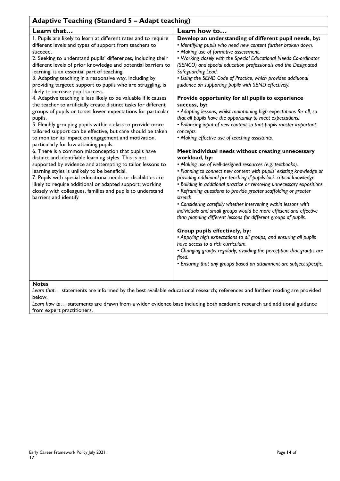| <b>Adaptive Teaching (Standard 5 - Adapt teaching)</b>                                                                                                                                                                                                                                                                                                                                                                                                                                                                                                                                                                                                                                                                                                                                                                                                                                                                                                                                                                                                                                                                                                                                                                                                                                                                                                                                |                                                                                                                                                                                                                                                                                                                                                                                                                                                                                                                                                                                                                                                                                                                                                                                                                                                                                                                                                                                                                                                                                                                                                                                                                                                                                                                                                                                                                                                                                                                                                                                                                                                                                                                                                                     |
|---------------------------------------------------------------------------------------------------------------------------------------------------------------------------------------------------------------------------------------------------------------------------------------------------------------------------------------------------------------------------------------------------------------------------------------------------------------------------------------------------------------------------------------------------------------------------------------------------------------------------------------------------------------------------------------------------------------------------------------------------------------------------------------------------------------------------------------------------------------------------------------------------------------------------------------------------------------------------------------------------------------------------------------------------------------------------------------------------------------------------------------------------------------------------------------------------------------------------------------------------------------------------------------------------------------------------------------------------------------------------------------|---------------------------------------------------------------------------------------------------------------------------------------------------------------------------------------------------------------------------------------------------------------------------------------------------------------------------------------------------------------------------------------------------------------------------------------------------------------------------------------------------------------------------------------------------------------------------------------------------------------------------------------------------------------------------------------------------------------------------------------------------------------------------------------------------------------------------------------------------------------------------------------------------------------------------------------------------------------------------------------------------------------------------------------------------------------------------------------------------------------------------------------------------------------------------------------------------------------------------------------------------------------------------------------------------------------------------------------------------------------------------------------------------------------------------------------------------------------------------------------------------------------------------------------------------------------------------------------------------------------------------------------------------------------------------------------------------------------------------------------------------------------------|
| Learn that                                                                                                                                                                                                                                                                                                                                                                                                                                                                                                                                                                                                                                                                                                                                                                                                                                                                                                                                                                                                                                                                                                                                                                                                                                                                                                                                                                            | Learn how to                                                                                                                                                                                                                                                                                                                                                                                                                                                                                                                                                                                                                                                                                                                                                                                                                                                                                                                                                                                                                                                                                                                                                                                                                                                                                                                                                                                                                                                                                                                                                                                                                                                                                                                                                        |
| I. Pupils are likely to learn at different rates and to require<br>different levels and types of support from teachers to<br>succeed.<br>2. Seeking to understand pupils' differences, including their<br>different levels of prior knowledge and potential barriers to<br>learning, is an essential part of teaching.<br>3. Adapting teaching in a responsive way, including by<br>providing targeted support to pupils who are struggling, is<br>likely to increase pupil success.<br>4. Adaptive teaching is less likely to be valuable if it causes<br>the teacher to artificially create distinct tasks for different<br>groups of pupils or to set lower expectations for particular<br>pupils.<br>5. Flexibly grouping pupils within a class to provide more<br>tailored support can be effective, but care should be taken<br>to monitor its impact on engagement and motivation,<br>particularly for low attaining pupils.<br>6. There is a common misconception that pupils have<br>distinct and identifiable learning styles. This is not<br>supported by evidence and attempting to tailor lessons to<br>learning styles is unlikely to be beneficial.<br>7. Pupils with special educational needs or disabilities are<br>likely to require additional or adapted support; working<br>closely with colleagues, families and pupils to understand<br>barriers and identify | Develop an understanding of different pupil needs, by:<br>· Identifying pupils who need new content further broken down.<br>• Making use of formative assessment.<br>. Working closely with the Special Educational Needs Co-ordinator<br>(SENCO) and special education professionals and the Designated<br>Safeguarding Lead.<br>• Using the SEND Code of Practice, which provides additional<br>guidance on supporting pupils with SEND effectively.<br>Provide opportunity for all pupils to experience<br>success, by:<br>• Adapting lessons, whilst maintaining high expectations for all, so<br>that all pupils have the opportunity to meet expectations.<br>• Balancing input of new content so that pupils master important<br>concepts.<br>• Making effective use of teaching assistants.<br>Meet individual needs without creating unnecessary<br>workload, by:<br>• Making use of well-designed resources (e.g. textbooks).<br>• Planning to connect new content with pupils' existing knowledge or<br>providing additional pre-teaching if pupils lack critical knowledge.<br>· Building in additional practice or removing unnecessary expositions.<br>• Reframing questions to provide greater scaffolding or greater<br>stretch.<br>• Considering carefully whether intervening within lessons with<br>individuals and small groups would be more efficient and effective<br>than planning different lessons for different groups of pupils.<br>Group pupils effectively, by:<br>• Applying high expectations to all groups, and ensuring all pupils<br>have access to a rich curriculum.<br>• Changing groups regularly, avoiding the perception that groups are<br>fixed.<br>· Ensuring that any groups based on attainment are subject specific. |

*Learn that…* statements are informed by the best available educational research; references and further reading are provided below.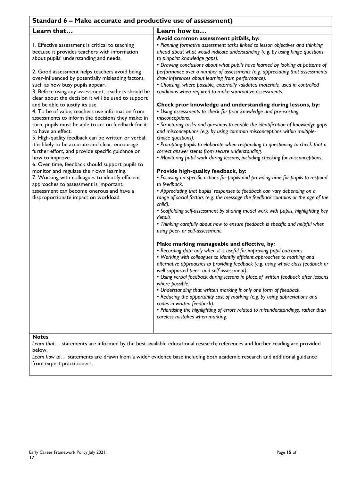| Standard 6 - Make accurate and productive use of assessment)                                                                                                                                                                                                                                                                                                                                                                                                                                                                                                                                                                                                                                                                                                                                                                                                                                                                                                                                                                                                                                 |                                                                                                                                                                                                                                                                                                                                                                                                                                                                                                                                                                                                                                                                                                                                                                                                                                                                                                                                                                                                                                                                                                                                                                                                                                                                                                                                                                                                                                                                                                                                                                                                                                                                                                                                                                                                                                                                                                                                                                                                                                                                                                                                                                                                                                                                                                                                                                                                                                                                                            |
|----------------------------------------------------------------------------------------------------------------------------------------------------------------------------------------------------------------------------------------------------------------------------------------------------------------------------------------------------------------------------------------------------------------------------------------------------------------------------------------------------------------------------------------------------------------------------------------------------------------------------------------------------------------------------------------------------------------------------------------------------------------------------------------------------------------------------------------------------------------------------------------------------------------------------------------------------------------------------------------------------------------------------------------------------------------------------------------------|--------------------------------------------------------------------------------------------------------------------------------------------------------------------------------------------------------------------------------------------------------------------------------------------------------------------------------------------------------------------------------------------------------------------------------------------------------------------------------------------------------------------------------------------------------------------------------------------------------------------------------------------------------------------------------------------------------------------------------------------------------------------------------------------------------------------------------------------------------------------------------------------------------------------------------------------------------------------------------------------------------------------------------------------------------------------------------------------------------------------------------------------------------------------------------------------------------------------------------------------------------------------------------------------------------------------------------------------------------------------------------------------------------------------------------------------------------------------------------------------------------------------------------------------------------------------------------------------------------------------------------------------------------------------------------------------------------------------------------------------------------------------------------------------------------------------------------------------------------------------------------------------------------------------------------------------------------------------------------------------------------------------------------------------------------------------------------------------------------------------------------------------------------------------------------------------------------------------------------------------------------------------------------------------------------------------------------------------------------------------------------------------------------------------------------------------------------------------------------------------|
| Learn that                                                                                                                                                                                                                                                                                                                                                                                                                                                                                                                                                                                                                                                                                                                                                                                                                                                                                                                                                                                                                                                                                   | Learn how to                                                                                                                                                                                                                                                                                                                                                                                                                                                                                                                                                                                                                                                                                                                                                                                                                                                                                                                                                                                                                                                                                                                                                                                                                                                                                                                                                                                                                                                                                                                                                                                                                                                                                                                                                                                                                                                                                                                                                                                                                                                                                                                                                                                                                                                                                                                                                                                                                                                                               |
| I. Effective assessment is critical to teaching<br>because it provides teachers with information<br>about pupils' understanding and needs.<br>2. Good assessment helps teachers avoid being<br>over-influenced by potentially misleading factors,<br>such as how busy pupils appear.<br>3. Before using any assessment, teachers should be<br>clear about the decision it will be used to support<br>and be able to justify its use.<br>4. To be of value, teachers use information from<br>assessments to inform the decisions they make; in<br>turn, pupils must be able to act on feedback for it<br>to have an effect.<br>5. High-quality feedback can be written or verbal;<br>it is likely to be accurate and clear, encourage<br>further effort, and provide specific guidance on<br>how to improve.<br>6. Over time, feedback should support pupils to<br>monitor and regulate their own learning.<br>7. Working with colleagues to identify efficient<br>approaches to assessment is important;<br>assessment can become onerous and have a<br>disproportionate impact on workload. | Avoid common assessment pitfalls, by:<br>• Planning formative assessment tasks linked to lesson objectives and thinking<br>ahead about what would indicate understanding (e.g. by using hinge questions<br>to pinpoint knowledge gaps).<br>• Drawing conclusions about what pupils have learned by looking at patterns of<br>performance over a number of assessments (e.g. appreciating that assessments<br>draw inferences about learning from performance).<br>• Choosing, where possible, externally validated materials, used in controlled<br>conditions when required to make summative assessments.<br>Check prior knowledge and understanding during lessons, by:<br>• Using assessments to check for prior knowledge and pre-existing<br>misconceptions.<br>• Structuring tasks and questions to enable the identification of knowledge gaps<br>and misconceptions (e.g. by using common misconceptions within multiple-<br>choice questions).<br>• Prompting pupils to elaborate when responding to questioning to check that a<br>correct answer stems from secure understanding.<br>• Monitoring pupil work during lessons, including checking for misconceptions.<br>Provide high-quality feedback, by:<br>• Focusing on specific actions for pupils and providing time for pupils to respond<br>to feedback.<br>• Appreciating that pupils' responses to feedback can vary depending on a<br>range of social factors (e.g. the message the feedback contains or the age of the<br>child).<br>• Scaffolding self-assessment by sharing model work with pupils, highlighting key<br>details.<br>• Thinking carefully about how to ensure feedback is specific and helpful when<br>using peer- or self-assessment.<br>Make marking manageable and effective, by:<br>• Recording data only when it is useful for improving pupil outcomes.<br>• Working with colleagues to identify efficient approaches to marking and<br>alternative approaches to providing feedback (e.g. using whole class feedback or<br>well supported peer- and self-assessment).<br>• Using verbal feedback during lessons in place of written feedback after lessons<br>where possible.<br>• Understanding that written marking is only one form of feedback.<br>• Reducing the opportunity cost of marking (e.g. by using abbreviations and<br>codes in written feedback).<br>• Prioritising the highlighting of errors related to misunderstandings, rather than<br>careless mistakes when marking. |

*Learn that…* statements are informed by the best available educational research; references and further reading are provided below.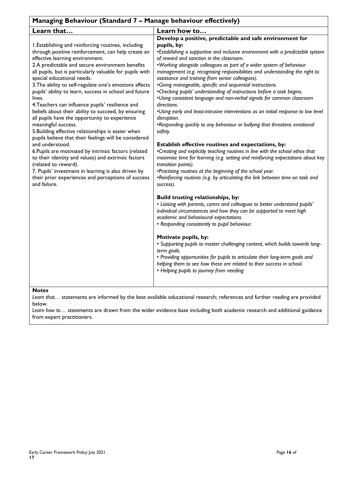| Managing Behaviour (Standard 7 - Manage behaviour effectively)                                                                                                                                                                                                                                                                                                                                                                                                                                                                                                                                                                                                                                                                                                                                                                                                                                                                                                                                                   |                                                                                                                                                                                                                                                                                                                                                                                                                                                                                                                                                                                                                                                                                                                                                                                                                                                                                                                                                                                                                                                                                                                                                                                                                                                                                                                                                                                                                                                                                                                                                                                                                                                                                                                                                                                                                                                                                |
|------------------------------------------------------------------------------------------------------------------------------------------------------------------------------------------------------------------------------------------------------------------------------------------------------------------------------------------------------------------------------------------------------------------------------------------------------------------------------------------------------------------------------------------------------------------------------------------------------------------------------------------------------------------------------------------------------------------------------------------------------------------------------------------------------------------------------------------------------------------------------------------------------------------------------------------------------------------------------------------------------------------|--------------------------------------------------------------------------------------------------------------------------------------------------------------------------------------------------------------------------------------------------------------------------------------------------------------------------------------------------------------------------------------------------------------------------------------------------------------------------------------------------------------------------------------------------------------------------------------------------------------------------------------------------------------------------------------------------------------------------------------------------------------------------------------------------------------------------------------------------------------------------------------------------------------------------------------------------------------------------------------------------------------------------------------------------------------------------------------------------------------------------------------------------------------------------------------------------------------------------------------------------------------------------------------------------------------------------------------------------------------------------------------------------------------------------------------------------------------------------------------------------------------------------------------------------------------------------------------------------------------------------------------------------------------------------------------------------------------------------------------------------------------------------------------------------------------------------------------------------------------------------------|
| Learn that                                                                                                                                                                                                                                                                                                                                                                                                                                                                                                                                                                                                                                                                                                                                                                                                                                                                                                                                                                                                       | Learn how to                                                                                                                                                                                                                                                                                                                                                                                                                                                                                                                                                                                                                                                                                                                                                                                                                                                                                                                                                                                                                                                                                                                                                                                                                                                                                                                                                                                                                                                                                                                                                                                                                                                                                                                                                                                                                                                                   |
| I.Establishing and reinforcing routines, including<br>through positive reinforcement, can help create an<br>effective learning environment.<br>2.A predictable and secure environment benefits<br>all pupils, but is particularly valuable for pupils with<br>special educational needs.<br>3. The ability to self-regulate one's emotions affects<br>pupils' ability to learn, success in school and future<br>lives.<br>4. Teachers can influence pupils' resilience and<br>beliefs about their ability to succeed, by ensuring<br>all pupils have the opportunity to experience<br>meaningful success.<br>5. Building effective relationships is easier when<br>pupils believe that their feelings will be considered<br>and understood.<br>6. Pupils are motivated by intrinsic factors (related<br>to their identity and values) and extrinsic factors<br>(related to reward).<br>7. Pupils' investment in learning is also driven by<br>their prior experiences and perceptions of success<br>and failure. | Develop a positive, predictable and safe environment for<br>pupils, by:<br>•Establishing a supportive and inclusive environment with a predictable system<br>of reward and sanction in the classroom.<br>. Working alongside colleagues as part of a wider system of behaviour<br>management (e.g. recognising responsibilities and understanding the right to<br>assistance and training from senior colleagues).<br>•Giving manageable, specific and sequential instructions.<br>•Checking pupils' understanding of instructions before a task begins.<br>.Using consistent language and non-verbal signals for common classroom<br>directions.<br>. Using early and least-intrusive interventions as an initial response to low level<br>disruption.<br>•Responding quickly to any behaviour or bullying that threatens emotional<br>safety.<br>Establish effective routines and expectations, by:<br>•Creating and explicitly teaching routines in line with the school ethos that<br>maximise time for learning (e.g. setting and reinforcing expectations about key<br>transition points).<br>•Practising routines at the beginning of the school year.<br>•Reinforcing routines (e.g. by articulating the link between time on task and<br>success).<br>Build trusting relationships, by:<br>• Liaising with parents, carers and colleagues to better understand pupils'<br>individual circumstances and how they can be supported to meet high<br>academic and behavioural expectations.<br>• Responding consistently to pupil behaviour.<br>Motivate pupils, by:<br>• Supporting pupils to master challenging content, which builds towards long-<br>term goals.<br>• Providing opportunities for pupils to articulate their long-term goals and<br>helping them to see how these are related to their success in school.<br>• Helping pupils to journey from needing |

*Learn that…* statements are informed by the best available educational research; references and further reading are provided below.